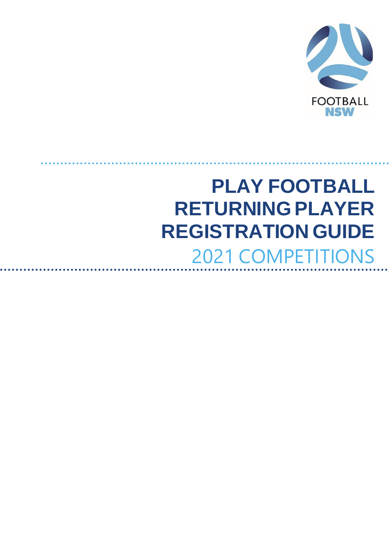

# **PLAY FOOTBALL RETURNING PLAYER REGISTRATION GUIDE** 2021 COMPETITIONS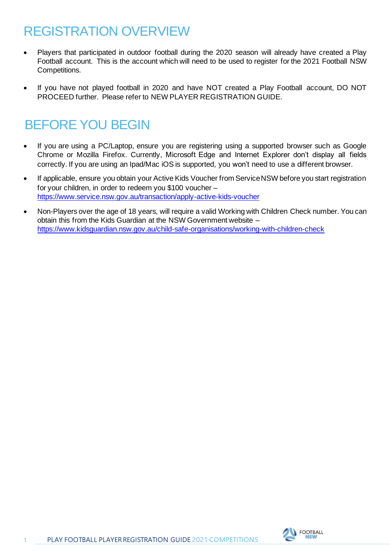# REGISTRATION OVERVIEW

- Players that participated in outdoor football during the 2020 season will already have created a Play Football account. This is the account which will need to be used to register for the 2021 Football NSW Competitions.
- If you have not played football in 2020 and have NOT created a Play Football account, DO NOT PROCEED further. Please refer to NEW PLAYER REGISTRATION GUIDE.

# BEFORE YOU BEGIN

- If you are using a PC/Laptop, ensure you are registering using a supported browser such as Google Chrome or Mozilla Firefox. Currently, Microsoft Edge and Internet Explorer don't display all fields correctly. If you are using an Ipad/Mac iOS is supported, you won't need to use a different browser.
- If applicable, ensure you obtain your Active Kids Voucher from Service NSW before you start registration for your children, in order to redeem you \$100 voucher – <https://www.service.nsw.gov.au/transaction/apply-active-kids-voucher>
- Non-Players over the age of 18 years, will require a valid Working with Children Check number. You can obtain this from the Kids Guardian at the NSW Government website – <https://www.kidsguardian.nsw.gov.au/child-safe-organisations/working-with-children-check>



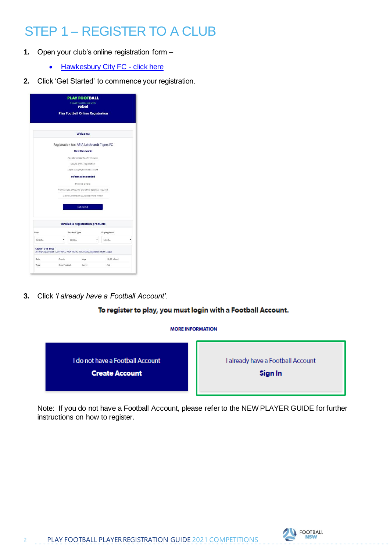# STEP 1 – REGISTER TO A CLUB

- **1.** Open your club's online registration form
	- [Hawkesbury City FC](https://registration.playfootball.com.au/common/pages/reg/welcomeregplus.aspx?misc=ufP05SkdLQkbBZoIQ62CmhTYWOr7ikp47Wt%2fV8pbUq8%3d&id=72278&save=0&entityid=74685) click here
- **2.** Click 'Get Started' to commence your registration.

|                  |                                                                                |               | <b>Proudly partnered with</b><br>rebal                |               |   |
|------------------|--------------------------------------------------------------------------------|---------------|-------------------------------------------------------|---------------|---|
|                  |                                                                                |               | <b>Play Football Online Registration</b>              |               |   |
|                  |                                                                                |               | Welcome                                               |               |   |
|                  |                                                                                |               | Registration for: APIA Leichhardt Tigers FC           |               |   |
|                  |                                                                                |               | <b>How this works</b>                                 |               |   |
|                  |                                                                                |               | Register in less than 10 minutes                      |               |   |
|                  |                                                                                |               | Secure online registration                            |               |   |
|                  |                                                                                |               | Login using MyFootball account                        |               |   |
|                  |                                                                                |               | <b>Information needed</b>                             |               |   |
|                  |                                                                                |               | Personal Details                                      |               |   |
|                  |                                                                                |               | Profile photo. WWC, ITC and other details as required |               |   |
|                  |                                                                                |               | Credit Card Details (If poying online today)          |               |   |
|                  |                                                                                |               | <b>Get started</b>                                    |               |   |
|                  |                                                                                |               | <b>Available registration products</b>                |               |   |
| Role             |                                                                                | Football Type |                                                       | Playing Level |   |
| Select           |                                                                                | Select.       |                                                       | Select        | ٠ |
| Coach - U16 Boys | 2019 NPL NSW Youth / 2019 NPL 2 NSW Youth / 2019 FNSW Association Youth League |               |                                                       |               |   |
| Role             | Coach                                                                          |               | Age                                                   | 16-99 Mixed   |   |
|                  |                                                                                |               |                                                       |               |   |

**3.** Click *'I already have a Football Account'.* 

#### To register to play, you must login with a Football Account.

#### **MORE INFORMATION**



Note: If you do not have a Football Account, please refer to the NEW PLAYER GUIDE for further instructions on how to register.

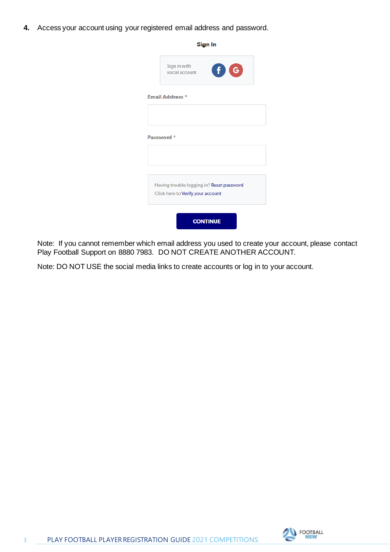**4.** Access your account using your registered email address and password.

| Sign In                                                                        |  |
|--------------------------------------------------------------------------------|--|
| Sign in with<br>O G<br>social account                                          |  |
| <b>Email Address *</b>                                                         |  |
|                                                                                |  |
| Password *                                                                     |  |
|                                                                                |  |
|                                                                                |  |
| Having trouble logging in? Reset password<br>Click here to Verify your account |  |
| <b>CONTINUE</b>                                                                |  |

Note: If you cannot remember which email address you used to create your account, please contact Play Football Support on 8880 7983. DO NOT CREATE ANOTHER ACCOUNT.

Note: DO NOT USE the social media links to create accounts or log in to your account.

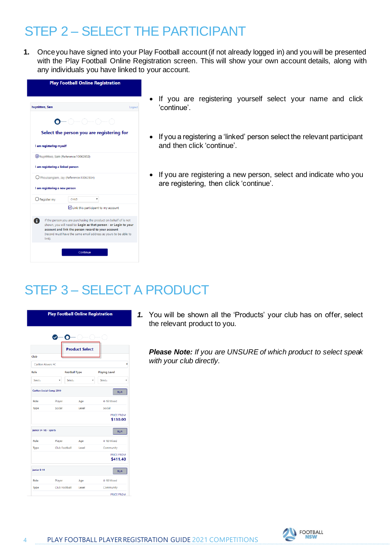# STEP 2 – SELECT THE PARTICIPANT

**1.** Once you have signed into your Play Football account (if not already logged in) and you will be presented with the Play Football Online Registration screen. This will show your own account details, along with any individuals you have linked to your account.

| <b>Play Football Online Registration</b> |                                                                                                                                                                                                                                                               |        |
|------------------------------------------|---------------------------------------------------------------------------------------------------------------------------------------------------------------------------------------------------------------------------------------------------------------|--------|
| huynhtwo, Sam                            |                                                                                                                                                                                                                                                               | Logout |
|                                          |                                                                                                                                                                                                                                                               |        |
|                                          | Select the person you are registering for                                                                                                                                                                                                                     |        |
| I am registering myself                  |                                                                                                                                                                                                                                                               |        |
|                                          | huunititum Tam (Reference:10062852)                                                                                                                                                                                                                           |        |
| I am registering a linked person         |                                                                                                                                                                                                                                                               |        |
|                                          | O Meuisangiam, Jay (Reference: 10062854)                                                                                                                                                                                                                      |        |
| I am registering a new person            |                                                                                                                                                                                                                                                               |        |
| $\bigcirc$ Register my                   | CHILD<br>۷                                                                                                                                                                                                                                                    |        |
|                                          | Link this participant to my account                                                                                                                                                                                                                           |        |
| ĩ.<br>link).                             | If the person you are purchasing the product on behalf of is not<br>shown, you will need to: Login as that person - or Login to your<br>account and link the person record to your account<br>(record must have the same email address as yours to be able to |        |
|                                          | Continue                                                                                                                                                                                                                                                      |        |

- If you are registering yourself select your name and click 'continue'.
- If you a registering a 'linked' person select the relevant participant and then click 'continue'.
- If you are registering a new person, select and indicate who you are registering, then click 'continue'.

# STEP 3 – SELECT A PRODUCT



*1.* You will be shown all the 'Products' your club has on offer, select the relevant product to you.

*Please Note: If you are UNSURE of which product to select speak with your club directly.*

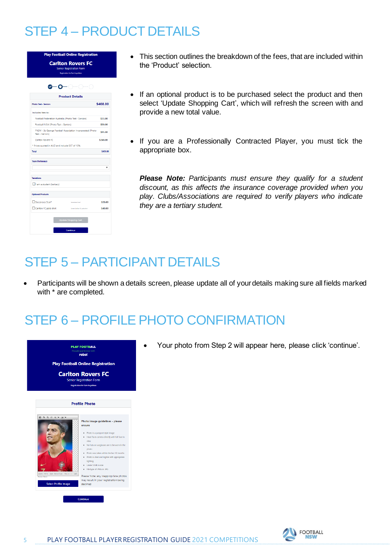# STEP 4 – PRODUCT DETAILS



- This section outlines the breakdown of the fees, that are included within the 'Product' selection.
- If an optional product is to be purchased select the product and then select 'Update Shopping Cart', which will refresh the screen with and provide a new total value.
- If you are a Professionally Contracted Player, you must tick the appropriate box.

*Please Note: Participants must ensure they qualify for a student discount, as this affects the insurance coverage provided when you play. Clubs/Associations are required to verify players who indicate they are a tertiary student.*

#### STEP 5 – PARTICIPANT DETAILS

• Participants will be shown a details screen, please update all of your details making sure all fields marked with \* are completed.

### STEP 6 – PROFILE PHOTO CONFIRMATION



• Your photo from Step 2 will appear here, please click 'continue'.

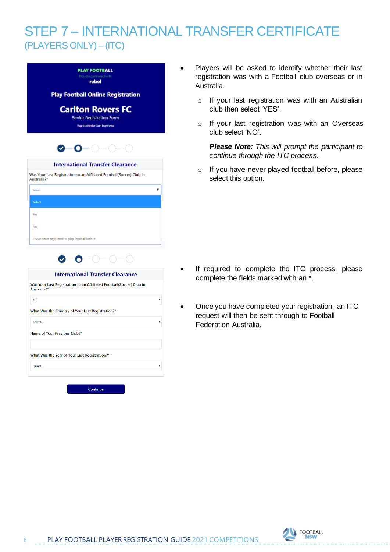### STEP 7 – INTERNATIONAL TRANSFER CERTIFICATE (PLAYERS ONLY) – (ITC)

| <b>PLAY FOOTBALL</b>                                                                |   |
|-------------------------------------------------------------------------------------|---|
| Proudly partnered with<br>rebel                                                     |   |
| <b>Play Football Online Registration</b>                                            |   |
| <b>Carlton Rovers FC</b>                                                            |   |
| <b>Senior Registration Form</b>                                                     |   |
| <b>Registration for Sam huynhovo</b>                                                |   |
| 0-0-0-                                                                              |   |
|                                                                                     |   |
| <b>International Transfer Clearance</b>                                             |   |
| Was Your Last Registration to an Affiliated Football(Soccer) Club in<br>Australia?* |   |
| Select                                                                              |   |
| Select                                                                              |   |
|                                                                                     |   |
| Yes                                                                                 |   |
| No                                                                                  |   |
|                                                                                     |   |
| I have never registered to play Football before                                     |   |
| $\bullet$ - $\bullet$ - $\circ$ - $\circ$                                           |   |
| <b>International Transfer Clearance</b>                                             |   |
| Was Your Last Registration to an Affiliated Football(Soccer) Club in<br>Australia?* |   |
| <b>No</b>                                                                           | v |
| What Was the Country of Your Last Registration?*                                    |   |
| Select                                                                              |   |
| Name of Your Previous Club?*                                                        |   |
|                                                                                     |   |
| What Was the Year of Your Last Registration?*                                       |   |
| Select                                                                              |   |

- Players will be asked to identify whether their last registration was with a Football club overseas or in Australia.
	- o If your last registration was with an Australian club then select 'YES'.
	- o If your last registration was with an Overseas club select 'NO'.

*Please Note: This will prompt the participant to continue through the ITC process.* 

o If you have never played football before, please select this option.

- If required to complete the ITC process, please complete the fields marked with an \*.
- Once you have completed your registration, an ITC request will then be sent through to Football Federation Australia.

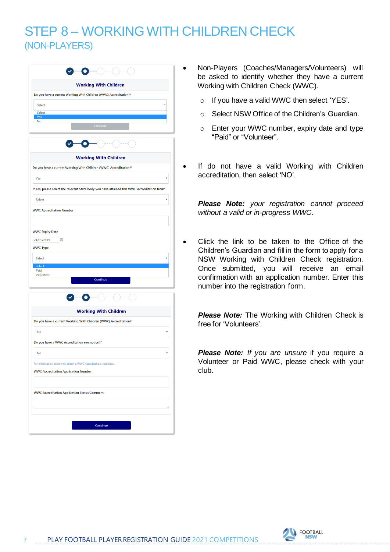### STEP 8 – WORKING WITH CHILDREN CHECK (NON-PLAYERS)

| <b>Working With Children</b><br>Do you have a current Working With Children (WWC) Accreditation?*<br>Select<br>Select<br>Yes<br><b>No</b><br>Continue<br><b>Working With Children</b><br>Do you have a current Working With Children (WWC) Accreditation?* | ۷ |
|------------------------------------------------------------------------------------------------------------------------------------------------------------------------------------------------------------------------------------------------------------|---|
|                                                                                                                                                                                                                                                            |   |
|                                                                                                                                                                                                                                                            |   |
|                                                                                                                                                                                                                                                            |   |
|                                                                                                                                                                                                                                                            |   |
|                                                                                                                                                                                                                                                            |   |
|                                                                                                                                                                                                                                                            |   |
|                                                                                                                                                                                                                                                            |   |
|                                                                                                                                                                                                                                                            |   |
|                                                                                                                                                                                                                                                            |   |
| Yes                                                                                                                                                                                                                                                        |   |
| If Yes, please select the relevant State body you have attained this WWC Accreditation from*                                                                                                                                                               |   |
| Select                                                                                                                                                                                                                                                     |   |
| <b>WWC Accreditation Number</b>                                                                                                                                                                                                                            |   |
|                                                                                                                                                                                                                                                            |   |
|                                                                                                                                                                                                                                                            |   |
| <b>WWC Expiry Date</b><br>24/01/2019<br>画                                                                                                                                                                                                                  |   |
| <b>WWC Type</b>                                                                                                                                                                                                                                            |   |
|                                                                                                                                                                                                                                                            |   |
| Select<br>Select                                                                                                                                                                                                                                           |   |
| Paid<br>Volunteer                                                                                                                                                                                                                                          |   |
| Continue                                                                                                                                                                                                                                                   |   |
| <b>Working With Children</b>                                                                                                                                                                                                                               |   |
| Do you have a current Working With Children (WWC) Accreditation?*                                                                                                                                                                                          |   |
| <b>No</b>                                                                                                                                                                                                                                                  | ۷ |
| Do you have a WWC Accreditation exemption?*                                                                                                                                                                                                                |   |
| No                                                                                                                                                                                                                                                         |   |
| For information on how to obtain a WWC Accreditation, click here.                                                                                                                                                                                          |   |
| <b>WWC Accreditation Application Number</b>                                                                                                                                                                                                                |   |
|                                                                                                                                                                                                                                                            |   |
| <b>WWC Accreditation Application Status Comment</b>                                                                                                                                                                                                        |   |
|                                                                                                                                                                                                                                                            |   |
|                                                                                                                                                                                                                                                            |   |
|                                                                                                                                                                                                                                                            |   |

- Non-Players (Coaches/Managers/Volunteers) will be asked to identify whether they have a current Working with Children Check (WWC).
	- o If you have a valid WWC then select 'YES'.
	- o Select NSW Office of the Children's Guardian.
	- o Enter your WWC number, expiry date and type "Paid" or "Volunteer".
	- If do not have a valid Working with Children accreditation, then select 'NO'.

*Please Note: your registration cannot proceed without a valid or in-progress WWC.* 

• Click the link to be taken to the Office of the Children's Guardian and fill in the form to apply for a NSW Working with Children Check registration. Once submitted, you will receive an email confirmation with an application number. Enter this number into the registration form.

**Please Note:** The Working with Children Check is free for 'Volunteers'.

**Please Note:** If you are unsure if you require a Volunteer or Paid WWC, please check with your club.

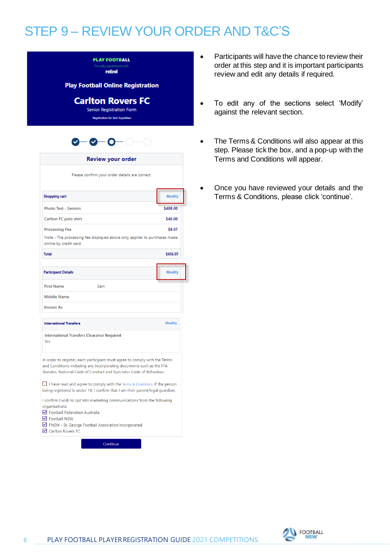# STEP 9 – REVIEW YOUR ORDER AND T&C'S

|                                                                                                                                                                                                                           | <b>Play Football Online Registration</b> |
|---------------------------------------------------------------------------------------------------------------------------------------------------------------------------------------------------------------------------|------------------------------------------|
| <b>Carlton Rovers FC</b><br><b>Senior Registration Form</b><br><b>Registration for Sam huynhowo</b>                                                                                                                       |                                          |
| <b>0-0-0</b>                                                                                                                                                                                                              |                                          |
| Review your order                                                                                                                                                                                                         |                                          |
| Please confirm your order details are correct.                                                                                                                                                                            |                                          |
| <b>Shopping cart</b>                                                                                                                                                                                                      | <b>Modify</b>                            |
| <b>Photo Test - Seniors</b>                                                                                                                                                                                               | \$408.00                                 |
| Carlton FC polo shirt                                                                                                                                                                                                     | \$40.00                                  |
| <b>Processing Fee</b>                                                                                                                                                                                                     | \$8.07                                   |
| Note - The processing fee displayed above only applies to purchases made<br>online by credit card.                                                                                                                        |                                          |
| <b>Total</b>                                                                                                                                                                                                              | \$456.07                                 |
|                                                                                                                                                                                                                           |                                          |
| <b>Participant Details</b>                                                                                                                                                                                                | <b>Modify</b>                            |
| <b>First Name</b><br>Sam                                                                                                                                                                                                  |                                          |
| <b>Middle Name</b>                                                                                                                                                                                                        |                                          |
| <b>Known As</b>                                                                                                                                                                                                           |                                          |
| <b>International Transfers</b>                                                                                                                                                                                            | <b>Modify</b>                            |
| <b>International Transfers Clearance Required</b><br>Yes                                                                                                                                                                  |                                          |
| In order to register, each participant must agree to comply with the Terms<br>and Conditions including any incorporating documents such as the FFA<br>Statutes, National Code of Conduct and Spectator Code of Behaviour. |                                          |
| $\Box$ I have read and agree to comply with the Terms & Conditions. If the person<br>being registered is under 18, I confirm that I am their parent/legal guardian.                                                       |                                          |
| I confirm I wish to opt into marketing communications from the following<br>organisations:<br>Football Federation Australia<br>$\nabla$ Football NSW                                                                      |                                          |

**PLAY FOOTBALL** rebel

Continue

- Participants will have the chance to review their order at this step and it is important participants review and edit any details if required.
- To edit any of the sections select 'Modify' against the relevant section.
- The Terms & Conditions will also appear at this step. Please tick the box, and a pop-up with the Terms and Conditions will appear.
- Once you have reviewed your details and the Terms & Conditions, please click 'continue'.

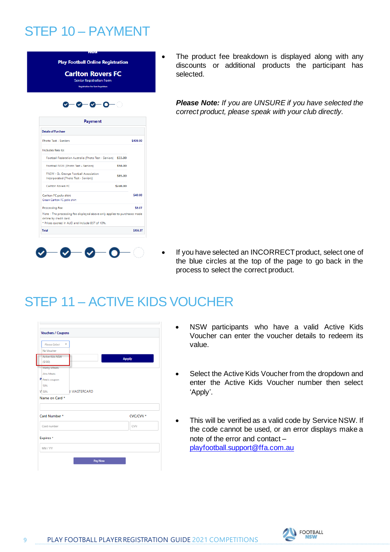# STEP 10 – PAYMENT

|          | <b>Carlton Rovers FC</b><br><b>Senior Registration Form</b><br><b>Registration for Sam huynhovo</b>                                                  |
|----------|------------------------------------------------------------------------------------------------------------------------------------------------------|
|          | <b>0-0-0-</b>                                                                                                                                        |
|          | Payment                                                                                                                                              |
|          | <b>Details of Purchase</b>                                                                                                                           |
| \$408.00 | <b>Photo Test - Seniors</b>                                                                                                                          |
|          | Includes fees to:                                                                                                                                    |
|          | Football Federation Australia (Photo Test - Seniors) \$33.00                                                                                         |
| \$50.00  | Football NSW (Photo Test - Seniors)                                                                                                                  |
| \$85.00  | FNSW - St. George Football Association<br>Incorporated (Photo Test - Seniors)                                                                        |
| \$240.00 | Carlton Rovers FC                                                                                                                                    |
| \$40.00  | Carlton FC polo shirt<br>Green Carlton FC polo shirt                                                                                                 |
| \$8.07   | <b>Processing Fee</b>                                                                                                                                |
|          | Note - The processing fee displayed above only applies to purchases made<br>online by credit card.<br>* Prices quoted in AUD and include GST of 10%. |
| \$456.07 | <b>Total</b>                                                                                                                                         |

The product fee breakdown is displayed along with any discounts or additional products the participant has selected.

*Please Note: If you are UNSURE if you have selected the correct product, please speak with your club directly.*

If you have selected an INCORRECT product, select one of the blue circles at the top of the page to go back in the process to select the correct product.

### STEP 11 – ACTIVE KIDS VOUCHER

| Please Select<br>٠                  |              |
|-------------------------------------|--------------|
| No Voucher                          |              |
| Active Kids NSW<br>(5100)           | <b>Apply</b> |
| Marky's Meats                       |              |
| Jims Meats                          |              |
| P Pete's coupon                     |              |
| 50%                                 |              |
| <b><i>B MASTERCARD</i></b><br>V 50% |              |
| Name on Card *                      |              |
|                                     |              |
| Card Number *                       | CVC/CVV *    |
| Card number                         | CW           |
| Expires *                           |              |
|                                     |              |

- NSW participants who have a valid Active Kids Voucher can enter the voucher details to redeem its value.
- Select the Active Kids Voucher from the dropdown and enter the Active Kids Voucher number then select 'Apply'.
- This will be verified as a valid code by Service NSW. If the code cannot be used, or an error displays make a note of the error and contact – [playfootball.support@ffa.com.au](mailto:playfootball.support@ffa.com.au)

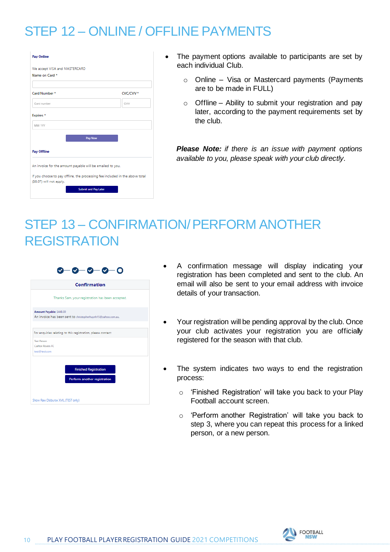# STEP 12 – ONLINE / OFFLINE PAYMENTS

| Name on Card *     |         |                      |
|--------------------|---------|----------------------|
|                    |         |                      |
| Card Number*       |         | CVC/CVV <sup>*</sup> |
| Card number        |         | CW                   |
| Expires*           |         |                      |
| MM / YY            |         |                      |
|                    | Pay Now |                      |
| <b>Pay Offline</b> |         |                      |

- The payment options available to participants are set by each individual Club.
	- o Online Visa or Mastercard payments (Payments are to be made in FULL)
	- o Offline Ability to submit your registration and pay later, according to the payment requirements set by the club.

*Please Note: if there is an issue with payment options available to you, please speak with your club directly.*

# STEP 13 – CONFIRMATION/ PERFORM ANOTHER **REGISTRATION**

|                                                          | <b>Confirmation</b>                                          |
|----------------------------------------------------------|--------------------------------------------------------------|
|                                                          | Thanks Sam, your registration has been accepted.             |
| Amount Payable: \$448.00                                 | An invoice has been sent to christopherhuynh15@yahoo.com.au. |
|                                                          |                                                              |
|                                                          |                                                              |
|                                                          | For enquiries relating to this registration, please contact: |
|                                                          |                                                              |
|                                                          |                                                              |
|                                                          |                                                              |
|                                                          |                                                              |
| <b>Test Person</b><br>Carlton Rovers FC<br>test@test.com | <b>Finished Registration</b>                                 |

- A confirmation message will display indicating your registration has been completed and sent to the club. An email will also be sent to your email address with invoice details of your transaction.
- Your registration will be pending approval by the club. Once your club activates your registration you are officially registered for the season with that club.
- The system indicates two ways to end the registration process:
	- o 'Finished Registration' will take you back to your Play Football account screen.
	- o 'Perform another Registration' will take you back to step 3, where you can repeat this process for a linked person, or a new person.